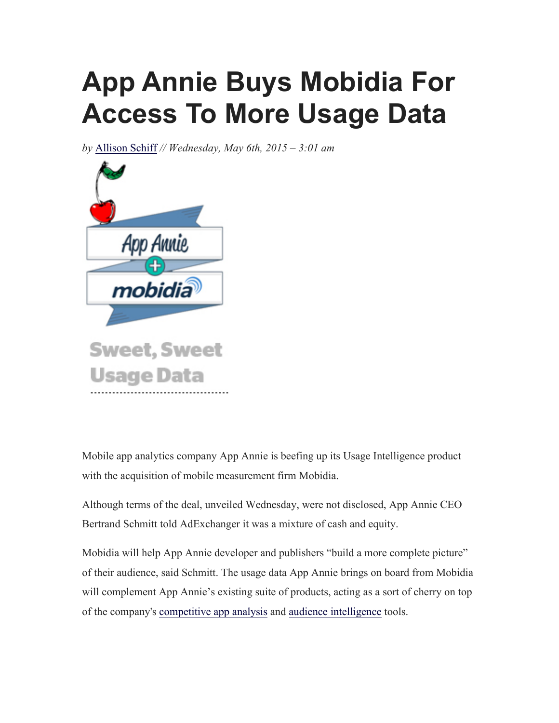## **App Annie Buys Mobidia For Access To More Usage Data**

*by* Allison Schiff *// Wednesday, May 6th, 2015 – 3:01 am*



Mobile app analytics company App Annie is beefing up its Usage Intelligence product with the acquisition of mobile measurement firm Mobidia.

Although terms of the deal, unveiled Wednesday, were not disclosed, App Annie CEO Bertrand Schmitt told AdExchanger it was a mixture of cash and equity.

Mobidia will help App Annie developer and publishers "build a more complete picture" of their audience, said Schmitt. The usage data App Annie brings on board from Mobidia will complement App Annie's existing suite of products, acting as a sort of cherry on top of the company's competitive app analysis and audience intelligence tools.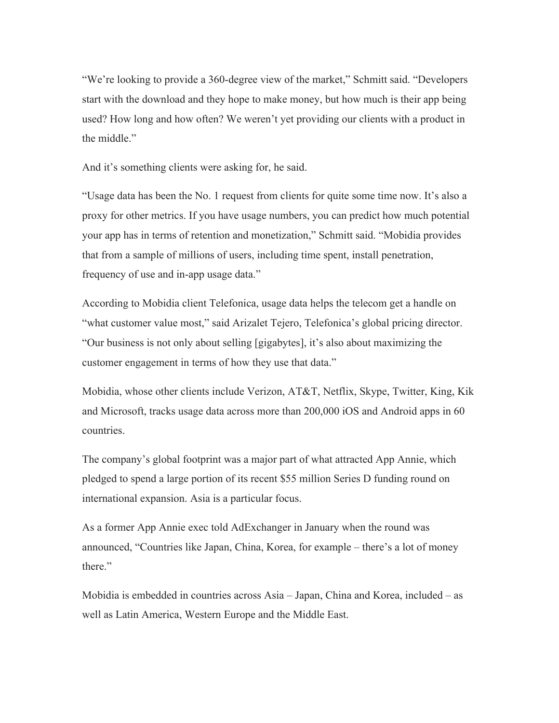"We're looking to provide a 360-degree view of the market," Schmitt said. "Developers start with the download and they hope to make money, but how much is their app being used? How long and how often? We weren't yet providing our clients with a product in the middle."

And it's something clients were asking for, he said.

"Usage data has been the No. 1 request from clients for quite some time now. It's also a proxy for other metrics. If you have usage numbers, you can predict how much potential your app has in terms of retention and monetization," Schmitt said. "Mobidia provides that from a sample of millions of users, including time spent, install penetration, frequency of use and in-app usage data."

According to Mobidia client Telefonica, usage data helps the telecom get a handle on "what customer value most," said Arizalet Tejero, Telefonica's global pricing director. "Our business is not only about selling [gigabytes], it's also about maximizing the customer engagement in terms of how they use that data."

Mobidia, whose other clients include Verizon, AT&T, Netflix, Skype, Twitter, King, Kik and Microsoft, tracks usage data across more than 200,000 iOS and Android apps in 60 countries.

The company's global footprint was a major part of what attracted App Annie, which pledged to spend a large portion of its recent \$55 million Series D funding round on international expansion. Asia is a particular focus.

As a former App Annie exec told AdExchanger in January when the round was announced, "Countries like Japan, China, Korea, for example – there's a lot of money there."

Mobidia is embedded in countries across Asia – Japan, China and Korea, included – as well as Latin America, Western Europe and the Middle East.